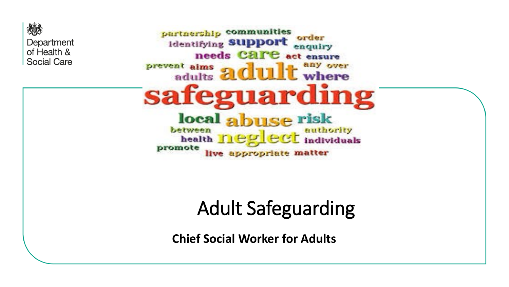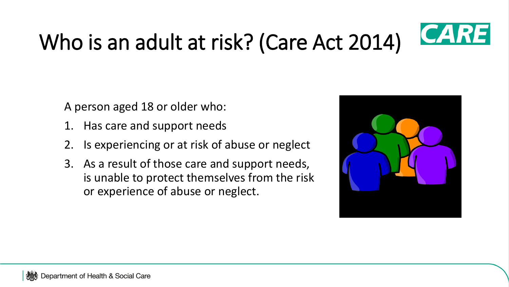

# Who is an adult at risk? (Care Act 2014)

A person aged 18 or older who:

- 1. Has care and support needs
- 2. Is experiencing or at risk of abuse or neglect
- 3. As a result of those care and support needs, is unable to protect themselves from the risk or experience of abuse or neglect.

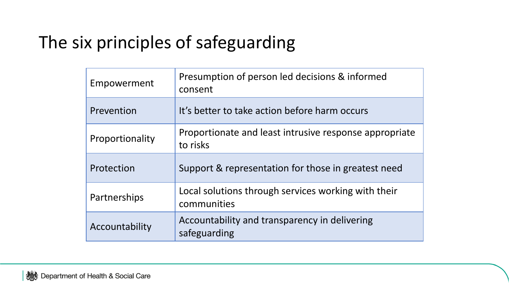#### The six principles of safeguarding

| Empowerment     | Presumption of person led decisions & informed<br>consent          |  |  |
|-----------------|--------------------------------------------------------------------|--|--|
| Prevention      | It's better to take action before harm occurs                      |  |  |
| Proportionality | Proportionate and least intrusive response appropriate<br>to risks |  |  |
| Protection      | Support & representation for those in greatest need                |  |  |
| Partnerships    | Local solutions through services working with their<br>communities |  |  |
| Accountability  | Accountability and transparency in delivering<br>safeguarding      |  |  |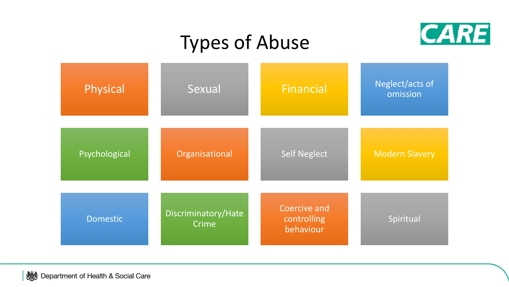## Types of Abuse



| Physical        | Sexual                       | <b>Financial</b>                                | Neglect/acts of<br>omission |
|-----------------|------------------------------|-------------------------------------------------|-----------------------------|
| Psychological   | Organisational               | <b>Self Neglect</b>                             | <b>Modern Slavery</b>       |
| <b>Domestic</b> | Discriminatory/Hate<br>Crime | <b>Coercive and</b><br>controlling<br>behaviour | Spiritual                   |

Department of Health & Social Care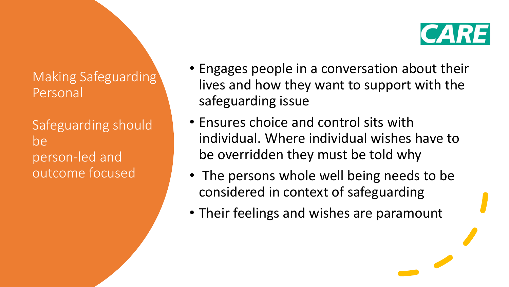## **CARE**

Making Safeguarding' Personal

Safeguarding should be person-led and outcome focused

- Engages people in a conversation about their lives and how they want to support with the safeguarding issue
- Ensures choice and control sits with individual. Where individual wishes have to be overridden they must be told why
- The persons whole well being needs to be considered in context of safeguarding
- Their feelings and wishes are paramount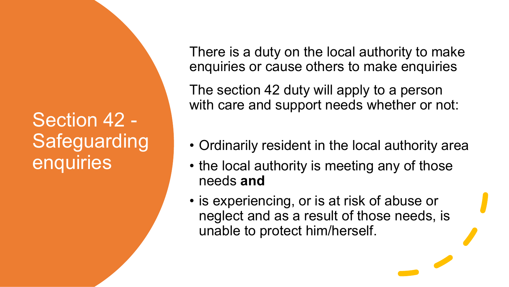### Section 42 - **Safeguarding** enquiries

There is a duty on the local authority to make enquiries or cause others to make enquiries

The section 42 duty will apply to a person with care and support needs whether or not:

- Ordinarily resident in the local authority area
- the local authority is meeting any of those needs **and**
- is experiencing, or is at risk of abuse or neglect and as a result of those needs, is unable to protect him/herself.